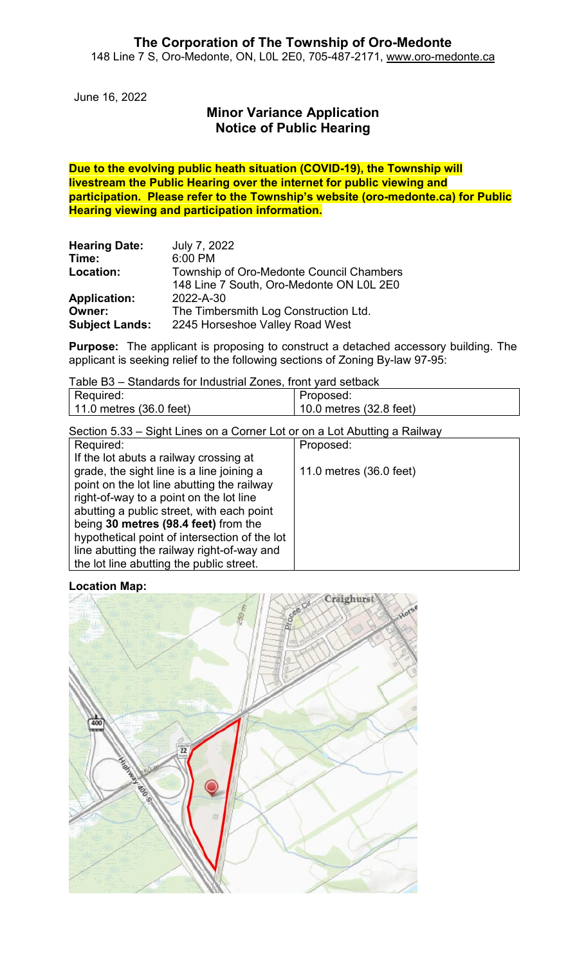June 16, 2022

# **Minor Variance Application Notice of Public Hearing**

**Due to the evolving public heath situation (COVID-19), the Township will livestream the Public Hearing over the internet for public viewing and participation. Please refer to the Township's website (oro-medonte.ca) for Public Hearing viewing and participation information.**

| <b>Hearing Date:</b>  | July 7, 2022                                                                         |
|-----------------------|--------------------------------------------------------------------------------------|
| Time:                 | 6:00 PM                                                                              |
| Location:             | Township of Oro-Medonte Council Chambers<br>148 Line 7 South, Oro-Medonte ON L0L 2E0 |
| <b>Application:</b>   | 2022-A-30                                                                            |
| Owner:                | The Timbersmith Log Construction Ltd.                                                |
| <b>Subject Lands:</b> | 2245 Horseshoe Valley Road West                                                      |

**Purpose:** The applicant is proposing to construct a detached accessory building. The applicant is seeking relief to the following sections of Zoning By-law 97-95:

Table B3 – Standards for Industrial Zones, front yard setback

| Required:                         | Proposed:                   |
|-----------------------------------|-----------------------------|
| 11.0 metres $(36.0 \text{ feet})$ | $10.0$ metres $(32.8$ feet) |
|                                   |                             |

Section 5.33 – Sight Lines on a Corner Lot or on a Lot Abutting a Railway

| Required:                                     | Proposed:               |
|-----------------------------------------------|-------------------------|
| If the lot abuts a railway crossing at        |                         |
| grade, the sight line is a line joining a     | 11.0 metres (36.0 feet) |
| point on the lot line abutting the railway    |                         |
| right-of-way to a point on the lot line       |                         |
| abutting a public street, with each point     |                         |
| being 30 metres (98.4 feet) from the          |                         |
| hypothetical point of intersection of the lot |                         |
| line abutting the railway right-of-way and    |                         |
| the lot line abutting the public street.      |                         |

**Location Map:**

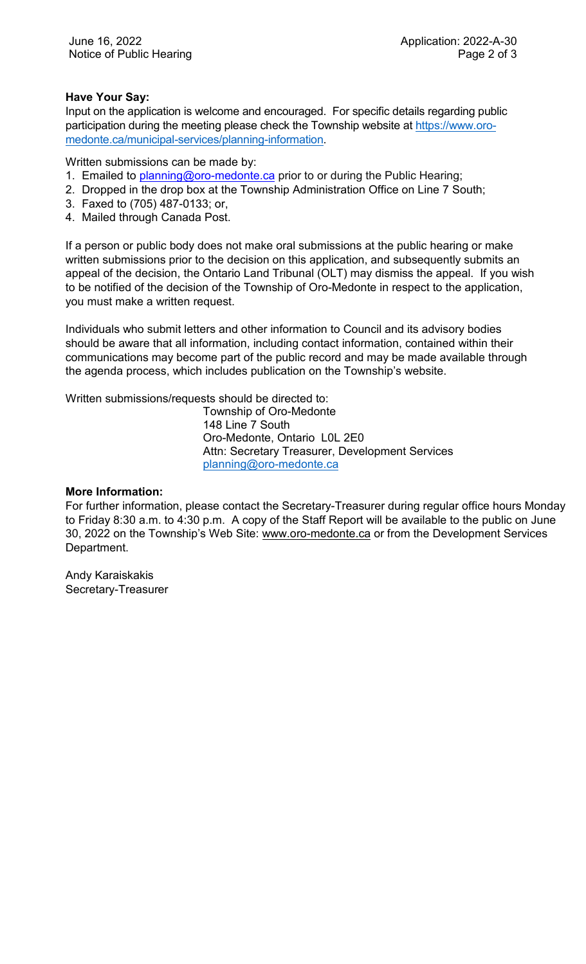## **Have Your Say:**

Input on the application is welcome and encouraged. For specific details regarding public participation during the meeting please check the Township website at [https://www.oro](https://www.oro-medonte.ca/municipal-services/planning-information)[medonte.ca/municipal-services/planning-information.](https://www.oro-medonte.ca/municipal-services/planning-information)

Written submissions can be made by:

- 1. Emailed to [planning@oro-medonte.ca](mailto:planning@oro-medonte.ca) prior to or during the Public Hearing;
- 2. Dropped in the drop box at the Township Administration Office on Line 7 South;
- 3. Faxed to (705) 487-0133; or,
- 4. Mailed through Canada Post.

If a person or public body does not make oral submissions at the public hearing or make written submissions prior to the decision on this application, and subsequently submits an appeal of the decision, the Ontario Land Tribunal (OLT) may dismiss the appeal. If you wish to be notified of the decision of the Township of Oro-Medonte in respect to the application, you must make a written request.

Individuals who submit letters and other information to Council and its advisory bodies should be aware that all information, including contact information, contained within their communications may become part of the public record and may be made available through the agenda process, which includes publication on the Township's website.

Written submissions/requests should be directed to:

Township of Oro-Medonte 148 Line 7 South Oro-Medonte, Ontario L0L 2E0 Attn: Secretary Treasurer, Development Services [planning@oro-medonte.ca](mailto:planning@oro-medonte.ca)

#### **More Information:**

For further information, please contact the Secretary-Treasurer during regular office hours Monday to Friday 8:30 a.m. to 4:30 p.m. A copy of the Staff Report will be available to the public on June 30, 2022 on the Township's Web Site: [www.oro-medonte.ca](http://www.oro-medonte.ca/) or from the Development Services Department.

Andy Karaiskakis Secretary-Treasurer